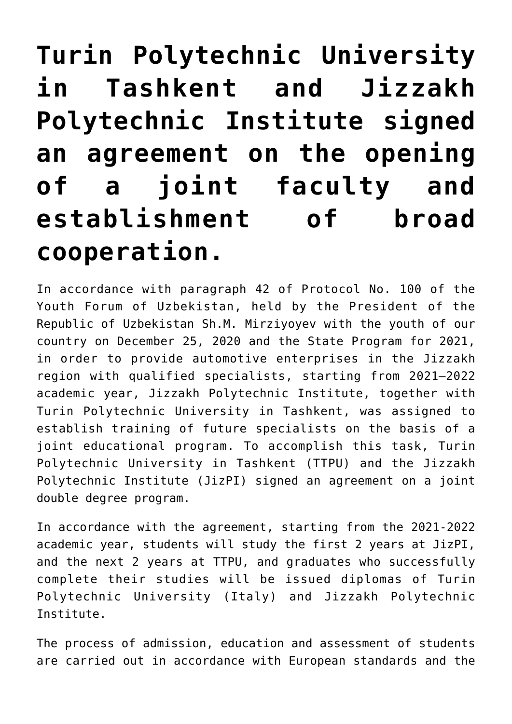## **[Turin Polytechnic University](https://polito.uz/13812/) [in Tashkent and Jizzakh](https://polito.uz/13812/) [Polytechnic Institute signed](https://polito.uz/13812/) [an agreement on the opening](https://polito.uz/13812/) [of a joint faculty and](https://polito.uz/13812/) [establishment of broad](https://polito.uz/13812/) [cooperation.](https://polito.uz/13812/)**

In accordance with paragraph 42 of Protocol No. 100 of the Youth Forum of Uzbekistan, held by the President of the Republic of Uzbekistan Sh.M. Mirziyoyev with the youth of our country on December 25, 2020 and the State Program for 2021, in order to provide automotive enterprises in the Jizzakh region with qualified specialists, starting from 2021–2022 academic year, Jizzakh Polytechnic Institute, together with Turin Polytechnic University in Tashkent, was assigned to establish training of future specialists on the basis of a joint educational program. To accomplish this task, Turin Polytechnic University in Tashkent (TTPU) and the Jizzakh Polytechnic Institute (JizPI) signed an agreement on a joint double degree program.

In accordance with the agreement, starting from the 2021-2022 academic year, students will study the first 2 years at JizPI, and the next 2 years at TTPU, and graduates who successfully complete their studies will be issued diplomas of Turin Polytechnic University (Italy) and Jizzakh Polytechnic Institute.

The process of admission, education and assessment of students are carried out in accordance with European standards and the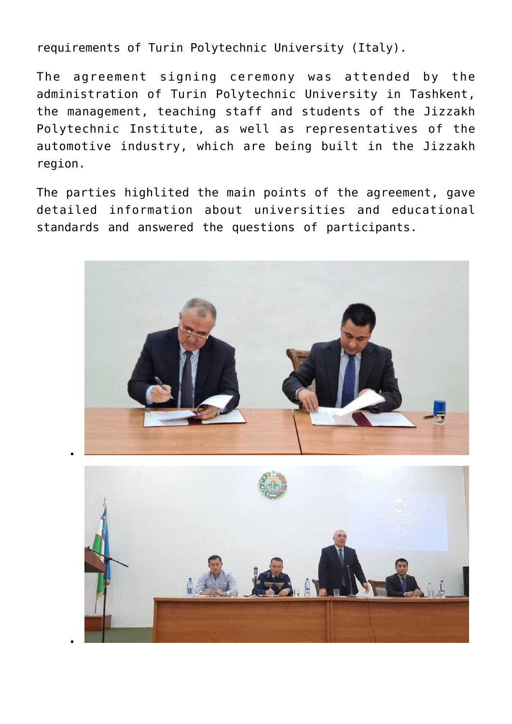requirements of Turin Polytechnic University (Italy).

The agreement signing ceremony was attended by the administration of Turin Polytechnic University in Tashkent, the management, teaching staff and students of the Jizzakh Polytechnic Institute, as well as representatives of the automotive industry, which are being built in the Jizzakh region.

The parties highlited the main points of the agreement, gave detailed information about universities and educational standards and answered the questions of participants.

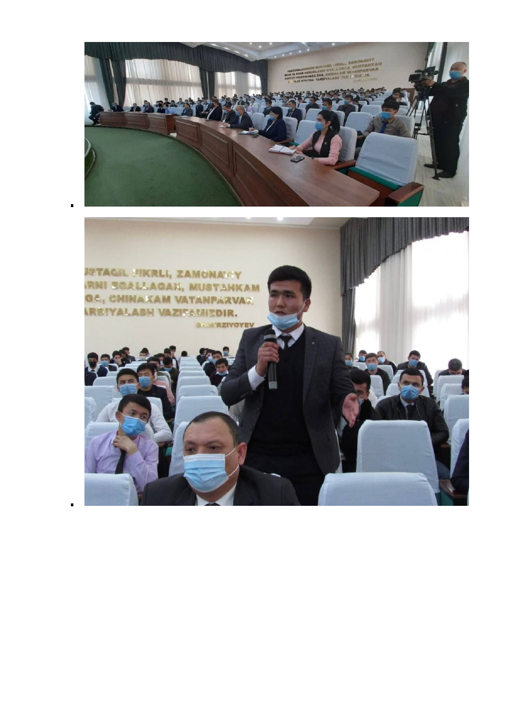